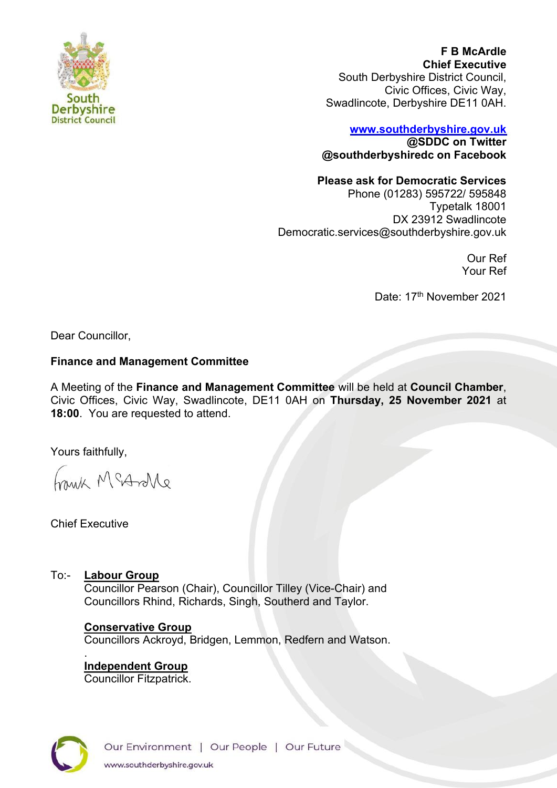

**F B McArdle Chief Executive** South Derbyshire District Council, Civic Offices, Civic Way, Swadlincote, Derbyshire DE11 0AH.

# **[www.southderbyshire.gov.uk](http://www.southderbyshire.gov.uk/) @SDDC on Twitter**

**@southderbyshiredc on Facebook**

#### **Please ask for Democratic Services**

Phone (01283) 595722/ 595848 Typetalk 18001 DX 23912 Swadlincote Democratic.services@southderbyshire.gov.uk

> Our Ref Your Ref

Date: 17<sup>th</sup> November 2021

Dear Councillor,

#### **Finance and Management Committee**

A Meeting of the **Finance and Management Committee** will be held at **Council Chamber**, Civic Offices, Civic Way, Swadlincote, DE11 0AH on **Thursday, 25 November 2021** at **18:00**. You are requested to attend.

Yours faithfully,

Frank McAndle

.

# To:- **Labour Group**

Councillor Pearson (Chair), Councillor Tilley (Vice-Chair) and Councillors Rhind, Richards, Singh, Southerd and Taylor.

# **Conservative Group**

Councillors Ackroyd, Bridgen, Lemmon, Redfern and Watson.

**Independent Group**  Councillor Fitzpatrick.



Chief Executive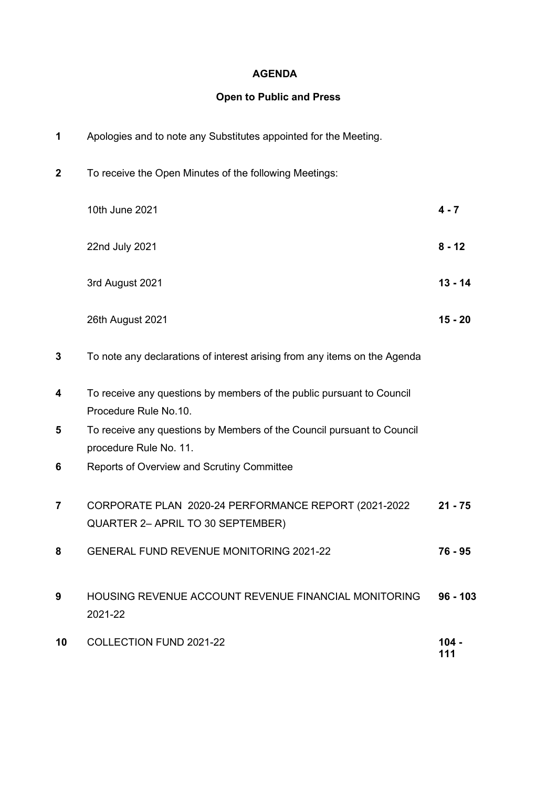#### **AGENDA**

### **Open to Public and Press**

| 1                       | Apologies and to note any Substitutes appointed for the Meeting.                                 |                |
|-------------------------|--------------------------------------------------------------------------------------------------|----------------|
| $\overline{\mathbf{2}}$ | To receive the Open Minutes of the following Meetings:                                           |                |
|                         | 10th June 2021                                                                                   | $4 - 7$        |
|                         | 22nd July 2021                                                                                   | $8 - 12$       |
|                         | 3rd August 2021                                                                                  | $13 - 14$      |
|                         | 26th August 2021                                                                                 | $15 - 20$      |
| 3                       | To note any declarations of interest arising from any items on the Agenda                        |                |
| 4                       | To receive any questions by members of the public pursuant to Council<br>Procedure Rule No.10.   |                |
| 5                       | To receive any questions by Members of the Council pursuant to Council<br>procedure Rule No. 11. |                |
| 6                       | Reports of Overview and Scrutiny Committee                                                       |                |
| 7                       | CORPORATE PLAN 2020-24 PERFORMANCE REPORT (2021-2022<br>QUARTER 2- APRIL TO 30 SEPTEMBER)        | $21 - 75$      |
| 8                       | <b>GENERAL FUND REVENUE MONITORING 2021-22</b>                                                   | 76 - 95        |
| 9                       | <b>HOUSING REVENUE ACCOUNT REVENUE FINANCIAL MONITORING</b><br>2021-22                           | $96 - 103$     |
| 10                      | <b>COLLECTION FUND 2021-22</b>                                                                   | $104 -$<br>111 |